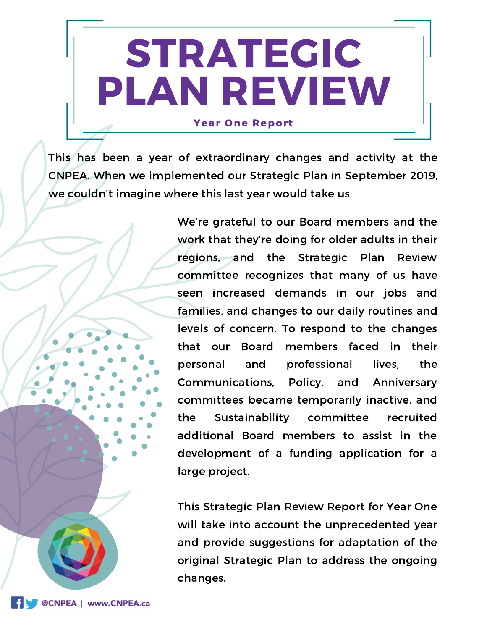# STRATEGIC PLAN REVIEW

#### **Year One Report**

This has been a year of extraordinary changes and activity at the CNPEA. When we implemented our Strategic Plan in September 2019, we couldn't imagine where this last year would take us.

> We're grateful to our Board members and the work that they're doing for older adults in their regions, and the Strategic Plan Review committee recognizes that many of us have seen increased demands in our jobs and families, and changes to our daily routines and levels of concern. To respond to the changes that our Board members faced in their personal and professional lives, the Communications, Policy, and Anniversary committees became temporarily inactive, and the Sustainability committee recruited additional Board members to assist in the development of a funding application for a large project.

> This Strategic Plan Review Report for Year One will take into account the unprecedented year and provide suggestions for adaptation of the original Strategic Plan to address the ongoing changes.